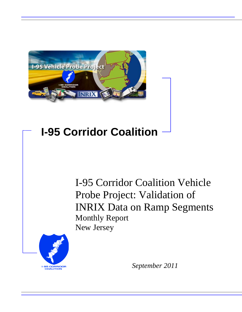

# **I-95 Corridor Coalition**

I-95 Corridor Coalition Vehicle Probe Project: Validation of INRIX Data on Ramp Segments Monthly Report New Jersey



*September 2011*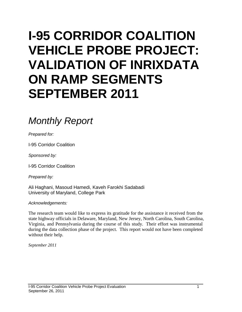# **I-95 CORRIDOR COALITION VEHICLE PROBE PROJECT: VALIDATION OF INRIXDATA ON RAMP SEGMENTS SEPTEMBER 2011**

# *Monthly Report*

*Prepared for:*

I-95 Corridor Coalition

*Sponsored by:*

I-95 Corridor Coalition

*Prepared by:*

Ali Haghani, Masoud Hamedi, Kaveh Farokhi Sadabadi University of Maryland, College Park

*Acknowledgements:*

The research team would like to express its gratitude for the assistance it received from the state highway officials in Delaware, Maryland, New Jersey, North Carolina, South Carolina, Virginia, and Pennsylvania during the course of this study. Their effort was instrumental during the data collection phase of the project. This report would not have been completed without their help.

*September 2011*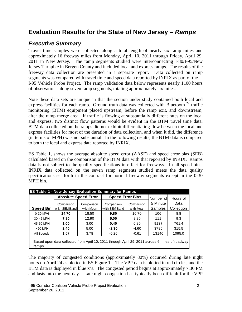## **Evaluation Results for the State of New Jersey** *– Ramps*

#### *Executive Summary*

Travel time samples were collected along a total length of nearly six ramp miles and approximately 16 freeway miles from Monday, April 10, 2011 through Friday, April 29, 2011 in New Jersey. The ramp segments studied were interconnecting I-80/I-95/New Jersey Turnpike in Bergen County and included local and express ramps. The results of the freeway data collection are presented in a separate report. Data collected on ramp segments was compared with travel time and speed data reported by INRIX as part of the I-95 Vehicle Probe Project. The ramp validation data below represents nearly 1100 hours of observations along seven ramp segments, totaling approximately six miles.

Note these data sets are unique in that the section under study contained both local and express facilities for each ramp. Ground truth data was collected with Bluetooth<sup>TM</sup> traffic monitoring (BTM) equipment placed upstream, before the ramp exit, and downstream, after the ramp merge area. If traffic is flowing at substantially different rates on the local and express, two distinct flow patterns would be evident in the BTM travel time data. BTM data collected on the ramps did not exhibit differentiating flow between the local and express facilities for most of the duration of data collection, and when it did, the difference (in terms of MPH) was not substantial. In the following results, the BTM data is compared to both the local and express data reported by INRIX.

ES Table 1, shows the average absolute speed error (AASE) and speed error bias (SEB) calculated based on the comparison of the BTM data with that reported by INRIX. Ramps data is not subject to the quality specifications in effect for freeways. In all speed bins, INRIX data collected on the seven ramp segments studied meets the data quality specifications set forth in the contract for normal freeway segments except in the 0-30 MPH bin.

|                  | ES Table 1 - New Jersey Evaluation Summary for Ramps<br><b>Speed Error Bias</b><br><b>Absolute Speed Error</b> |                          |                              |                          |                                  |                                |
|------------------|----------------------------------------------------------------------------------------------------------------|--------------------------|------------------------------|--------------------------|----------------------------------|--------------------------------|
| <b>Speed Bin</b> | Comparison<br>w ith SEM Band                                                                                   | Comparison<br>w ith Mean | Comparison<br>w ith SEM Band | Comparison<br>w ith Mean | Number of<br>5 Minute<br>Samples | Hours of<br>Data<br>Collection |
| 0-30 MPH         | 14.70                                                                                                          | 18.50                    | 9.80                         | 10.70                    | 106                              | 8.8                            |
| 30-45 MPH        | 7.80                                                                                                           | 12.90                    | 5.00                         | 8.80                     | 111                              | 9.3                            |
| 45-60 MPH        | 1.00                                                                                                           | 3.00                     | 0.40                         | 0.80                     | 9137                             | 761.4                          |
| $>60$ MPH        | 2.40                                                                                                           | 5.00                     | $-2.30$                      | $-4.60$                  | 3786                             | 315.5                          |
| All Speeds       | 1.57                                                                                                           | 3.78                     | $-0.26$                      | $-0.61$                  | 13140                            | 1095.0                         |
| ramps.           | Based upon data collected from April 10, 2011 through April 29, 2011 across 6 miles of roadway                 |                          |                              |                          |                                  |                                |

The majority of congested conditions (approximately 80%) occurred during late night hours on April 24 as plotted in ES Figure 1. The VPP data is plotted in red circles, and the BTM data is displayed in blue x's. The congested period begins at approximately 7:30 PM and lasts into the next day. Late night congestion has typically been difficult for the VPP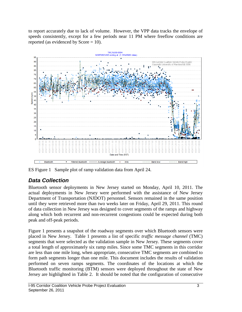to report accurately due to lack of volume. However, the VPP data tracks the envelope of speeds consistently, except for a few periods near 11 PM where freeflow conditions are reported (as evidenced by  $Score = 10$ ).



ES Figure 1 Sample plot of ramp validation data from April 24.

### *Data Collection*

Bluetooth sensor deployments in New Jersey started on Monday, April 10, 2011. The actual deployments in New Jersey were performed with the assistance of New Jersey Department of Transportation (NJDOT) personnel. Sensors remained in the same position until they were retrieved more than two weeks later on Friday, April 29, 2011. This round of data collection in New Jersey was designed to cover segments of the ramps and highway along which both recurrent and non-recurrent congestions could be expected during both peak and off-peak periods.

Figure 1 presents a snapshot of the roadway segments over which Bluetooth sensors were placed in New Jersey. Table 1 presents a list of specific *traffic message channel* (TMC) segments that were selected as the validation sample in New Jersey. These segments cover a total length of approximately six ramp miles. Since some TMC segments in this corridor are less than one mile long, when appropriate, consecutive TMC segments are combined to form path segments longer than one mile. This document includes the results of validation performed on seven ramps segments. The coordinates of the locations at which the Bluetooth traffic monitoring (BTM) sensors were deployed throughout the state of New Jersey are highlighted in Table 2. It should be noted that the configuration of consecutive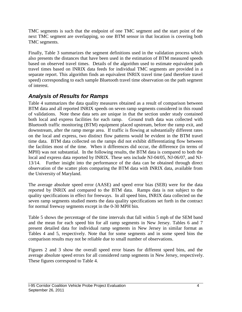TMC segments is such that the endpoint of one TMC segment and the start point of the next TMC segment are overlapping, so one BTM sensor in that location is covering both TMC segments.

Finally, Table 3 summarizes the segment definitions used in the validation process which also presents the distances that have been used in the estimation of BTM measured speeds based on observed travel times. Details of the algorithm used to estimate equivalent path travel times based on INRIX data feeds for individual TMC segments are provided in a separate report. This algorithm finds an equivalent INRIX travel time (and therefore travel speed) corresponding to each sample Bluetooth travel time observation on the path segment of interest.

### *Analysis of Results for Ramps*

Table 4 summarizes the data quality measures obtained as a result of comparison between BTM data and all reported INRIX speeds on seven ramp segments considered in this round of validations. Note these data sets are unique in that the section under study contained both local and express facilities for each ramp. Ground truth data was collected with Bluetooth traffic monitoring (BTM) equipment placed upstream, before the ramp exit, and downstream, after the ramp merge area. If traffic is flowing at substantially different rates on the local and express, two distinct flow patterns would be evident in the BTM travel time data. BTM data collected on the ramps did not exhibit differentiating flow between the facilities most of the time. When it differences did occur, the difference (in terms of MPH) was not substantial. In the following results, the BTM data is compared to both the local and express data reported by INRIX. These sets include NJ-04/05, NJ-06/07, and NJ-13/14. Further insight into the performance of the data can be obtained through direct observation of the scatter plots comparing the BTM data with INRIX data, available from the University of Maryland.

The average absolute speed error (AASE) and speed error bias (SEB) were for the data reported by INRIX and compared to the BTM data. Ramps data is not subject to the quality specifications in effect for freeways. In all speed bins, INRIX data collected on the seven ramp segments studied meets the data quality specifications set forth in the contract for normal freeway segments except in the 0-30 MPH bin.

Table 5 shows the percentage of the time intervals that fall within 5 mph of the SEM band and the mean for each speed bin for all ramp segments in New Jersey. Tables 6 and 7 present detailed data for individual ramp segments in New Jersey in similar format as Tables 4 and 5, respectively. Note that for some segments and in some speed bins the comparison results may not be reliable due to small number of observations.

Figures 2 and 3 show the overall speed error biases for different speed bins, and the average absolute speed errors for all considered ramp segments in New Jersey, respectively. These figures correspond to Table 4.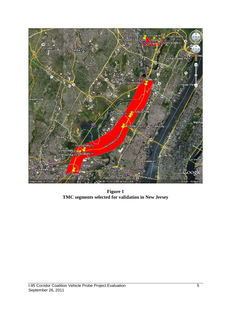

**Figure 1 TMC segments selected for validation in New Jersey**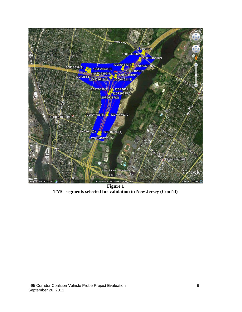

**Figure 1 TMC segments selected for validation in New Jersey (Cont'd)**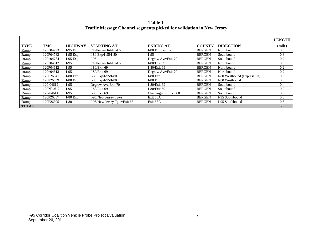**Table 1 Traffic Message Channel segments picked for validation in New Jersey**

|              |             |                |                              |                       |               |                             | <b>LENGTH</b> |
|--------------|-------------|----------------|------------------------------|-----------------------|---------------|-----------------------------|---------------|
| <b>TYPE</b>  | TMC         | <b>HIGHWAY</b> | <b>STARTING AT</b>           | <b>ENDING AT</b>      | <b>COUNTY</b> | <b>DIRECTION</b>            | (mile)        |
| Ramp         | 120+04793   | $I-95$ Exp     | Challenger Rd/Exit 68        | I-80 $Exp/I-95/I-80$  | <b>BERGEN</b> | Northbound                  | 0.3           |
| Ramp         | 120P04783   | $I-95$ Exp     | I-80 $Exp/I-95/I-80$         | $I-95$                | <b>BERGEN</b> | Southbound                  | 0.8           |
| Ramp         | 120+04784   | $I-95$ Exp     | I-95                         | Degraw Ave/Exit 70    | <b>BERGEN</b> | Southbound                  | 0.2           |
| Ramp         | $120+04612$ | $I-95$         | Challenger Rd/Exit 68        | $I-80/E$ xit 69       | <b>BERGEN</b> | Northbound                  | 0.8           |
| Ramp         | 120P04612   | $I-95$         | I-80/Exit $69$               | $I-80/E$ xit 69       | <b>BERGEN</b> | Northbound                  | 0.2           |
| Ramp         | $120+04613$ | $I-95$         | I-80/Exit $69$               | Degraw Ave/Exit 70    | <b>BERGEN</b> | Northbound                  | 0.2           |
| Ramp         | 120P26641   | $I-80$ Exp     | I-80 $Exp/I-95/I-80$         | $I-80$ Exp            | <b>BERGEN</b> | I-80 Westbound (Express Ln) | 0.5           |
| Ramp         | 120P26639   | $I-80$ Exp     | I-80 $Exp/I-95/I-80$         | $I-80$ Exp            | <b>BERGEN</b> | I-80 Westbound              | 0.6           |
| Ramp         | 120-04612   | $I-95$         | Degraw Ave/Exit 70           | I-80/Exit 69          | <b>BERGEN</b> | Southbound                  | 0.4           |
| Ramp         | 120N04612   | $I-95$         | I-80/Exit $69$               | $I-80/E$ xit 69       | <b>BERGEN</b> | Southbound                  | 0.2           |
| Ramp         | 120-04611   | $I-95$         | I-80/Exit $69$               | Challenger Rd/Exit 68 | <b>BERGEN</b> | Southbound                  | 0.8           |
| Ramp         | 120P26387   | $I-80$ Exp     | I-95/New Jersey Tpke         | Exit 68A              | <b>BERGEN</b> | I-95 Southbound             | 0.3           |
| Ramp         | 120P26395   | $I-80$         | I-95/New Jersey Tpke/Exit 68 | Exit 68A              | <b>BERGEN</b> | I-95 Southbound             | 0.5           |
| <b>TOTAL</b> |             |                |                              |                       |               |                             | 5.9           |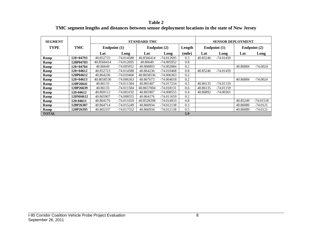**Table 2 TMC segment lengths and distances between sensor deployment locations in the state of New Jersey**

| <b>SEGMENT</b> |                  | <b>STANDARD TMC</b> |                |            |                        |        | <b>SENSOR DEPLOYMENT</b> |             |              |             |
|----------------|------------------|---------------------|----------------|------------|------------------------|--------|--------------------------|-------------|--------------|-------------|
| <b>TYPE</b>    | TMC              |                     | Endpoint $(1)$ |            | Endpoint (2)<br>Length |        | Endpoint $(1)$           |             | Endpoint (2) |             |
|                |                  | Lat                 | Long           | Lat        | Long                   | (mile) | Lat                      | Long        | Lat          | Long        |
| Ramp           | 120+04793        | 40.852723           | $-74.014588$   | 40.8566414 | $-74.012695$           | 0.3    | 40.85246                 | $-74.01459$ |              |             |
| Ramp           | 120P04783        | 40.8566414          | $-74.012695$   | 40.86649   | $-74.005952$           | 0.8    |                          |             |              |             |
| Ramp           | 120+04784        | 40.86649            | $-74.005952$   | 40.868893  | $-74.002884$           | 0.2    |                          |             | 40.86884     | $-74.0024$  |
| Ramp           | 120+04612        | 40.852723           | -74.014588     | 40.864236  | $-74.010468$           | 0.8    | 40.85246                 | -74.01459   |              |             |
| Ramp           | 120P04612        | 40.864236           | $-74.010468$   | 40.8658536 | $-74.006363$           | 0.2    |                          |             |              |             |
| Ramp           | $120+04613$      | 40.8658536          | $-74.006363$   | 40.867673  | $-74.004018$           | 0.2    |                          |             | 40.86884     | $-74.0024$  |
| Ramp           | 120P26641        | 40.86133            | -74.011584     | 40.865407  | -74.017254             | 0.5    | 40.86135                 | -74.01159   |              |             |
| Ramp           | 120P26639        | 40.86133            | $-74.011584$   | 40.8657004 | -74.018131             | 0.6    | 40.86135                 | $-74.01159$ |              |             |
| Ramp           | 120-04612        | 40.869112           | -74.003192     | 40.865907  | -74.008555             | 0.4    | 40.86892                 | -74.00361   |              |             |
| Ramp           | 120N04612        | 40.865907           | $-74.008555$   | 40.864176  | $-74.011659$           | 0.2    |                          |             |              |             |
| Ramp           | 120-04611        | 40.864176           | $-74.011659$   | 40.8528298 | -74.014933             | 0.8    |                          |             | 40.85249     | $-74.01518$ |
| Ramp           | 120P26387        | 40.864714           | -74.015249     | 40.860934  | $-74.012138$           | 0.3    |                          |             | 40.86089     | -74.0121    |
| Ramp           | <b>120P26395</b> | 40.865337           | -74.017552     | 40.860934  | $-74.012138$           | 0.5    |                          |             | 40.86089     | $-74.0121$  |
| <b>TOTAL</b>   |                  |                     |                |            |                        | 5.9    |                          |             |              |             |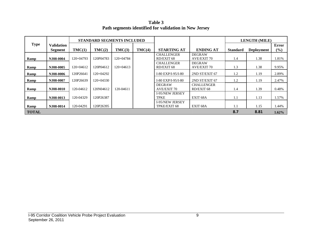**Table 3 Path segments identified for validation in New Jersey**

|              |                              | <b>STANDARD SEGMENTS INCLUDED</b> |             |             |        |                                        |                                     | <b>LENGTH (MILE)</b> |                   |              |
|--------------|------------------------------|-----------------------------------|-------------|-------------|--------|----------------------------------------|-------------------------------------|----------------------|-------------------|--------------|
| <b>Type</b>  | <b>Validation</b><br>Segment | TMC(1)                            | TMC(2)      | TMC(3)      | TMC(4) | <b>STARTING AT</b>                     | <b>ENDING AT</b>                    | <b>Standard</b>      | <b>Deployment</b> | Error<br>(%) |
| Ramp         | NJ08-0004                    | $120+04793$                       | 120P04783   | $120+04784$ |        | <b>CHALLENGER</b><br>RD/EXIT 68        | <b>DEGRAW</b><br><b>AVE/EXIT 70</b> | 1.4                  | 1.38              | 1.81%        |
| Ramp         | NJ08-0005                    | $120+04612$                       | 120P04612   | $120+04613$ |        | <b>CHALLENGER</b><br>RD/EXIT 68        | <b>DEGRAW</b><br><b>AVE/EXIT 70</b> | 1.3                  | 1.38              | 9.95%        |
| Ramp         | N.I08-0006                   | 120P26641                         | 120+04292   |             |        | I-80 EXP/I-95/I-80                     | 2ND ST/EXIT 67                      | 1.2                  | 1.19              | 2.89%        |
| Ramp         | NJ08-0007                    | 120P26639                         | $120+04330$ |             |        | I-80 EXP/I-95/I-80                     | 2ND ST/EXIT 67                      | 1.2                  | 1.19              | 2.47%        |
| Ramp         | <b>NJ08-0010</b>             | 120-04612                         | 120N04612   | 120-04611   |        | <b>DEGRAW</b><br><b>AVE/EXIT 70</b>    | <b>CHALLENGER</b><br>RD/EXIT 68     | 1.4                  | 1.39              | 0.48%        |
| Ramp         | NJ08-0013                    | 120-04329                         | 120P26387   |             |        | <b>I-95/NEW JERSEY</b><br><b>TPKE</b>  | EXIT <sub>68</sub> A                | 1.1                  | 1.13              | 1.57%        |
| Ramp         | NJ08-0014                    | 120-04291                         | 120P26395   |             |        | <b>I-95/NEW JERSEY</b><br>TPKE/EXIT 68 | EXIT <sub>68</sub> A                | 1.1                  | 1.15              | 1.44%        |
| <b>TOTAL</b> |                              |                                   |             |             |        |                                        |                                     | 8.7                  | 8.81              | $1.62\%$     |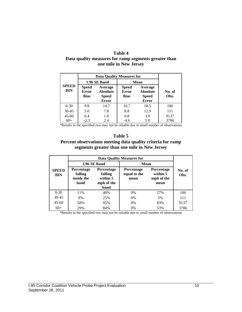#### **Table 4**

#### **Data quality measures for ramp segments greater than one mile in New Jersey**

|                            | <b>Data Quality Measures for</b>     |                                                            |                                             |                                                            |                |  |  |  |  |
|----------------------------|--------------------------------------|------------------------------------------------------------|---------------------------------------------|------------------------------------------------------------|----------------|--|--|--|--|
|                            | 1.96 SE Band                         |                                                            | Mean                                        |                                                            |                |  |  |  |  |
| <b>SPEED</b><br><b>BIN</b> | Speed<br><b>Error</b><br><b>Bias</b> | Average<br><b>Absolute</b><br><b>Speed</b><br><b>Error</b> | <b>Speed</b><br><b>Error</b><br><b>Bias</b> | Average<br><b>Absolute</b><br><b>Speed</b><br><b>Error</b> | No. of<br>Obs. |  |  |  |  |
| $0 - 30$                   | 9.8                                  | 14.7                                                       | 10.7                                        | 18.5                                                       | 106            |  |  |  |  |
| $30 - 45$                  | 5.0                                  | 7.8                                                        | 8.8                                         | 12.9                                                       | 111            |  |  |  |  |
| $45 - 60$                  | 0.4                                  | 1.0                                                        | 0.8                                         | 3.0                                                        | 9137           |  |  |  |  |
| $60+$                      | $-2.3$                               | 2.4                                                        | $-4.6$                                      | 5.0                                                        | 3786           |  |  |  |  |

\*Results in the specified row may not be reliable due to small number of observations

#### **Table 5 Percent observations meeting data quality criteria for ramp segments greater than one mile in New Jersey**

|                            |                                                                                                                      |                     | <b>Data Quality Measures for</b>          |                |      |
|----------------------------|----------------------------------------------------------------------------------------------------------------------|---------------------|-------------------------------------------|----------------|------|
|                            |                                                                                                                      | <b>1.96 SE Band</b> | Mean                                      | No. of<br>Obs. |      |
| <b>SPEED</b><br><b>BIN</b> | <b>Percentage</b><br><b>Percentage</b><br>falling<br>falling<br>inside the<br>within 5<br>mph of the<br>band<br>band |                     | <b>Percentage</b><br>equal to the<br>mean |                |      |
| $0 - 30$                   | 11%                                                                                                                  | 40%                 | 0%                                        | 27%            | 106  |
| $30 - 45$                  | 8%                                                                                                                   | 25%                 | $0\%$                                     | 5%             | 111  |
| $45 - 60$                  | 58%                                                                                                                  | 95%                 | $0\%$                                     | 83%            | 9137 |
| $60+$                      | 29%                                                                                                                  | 84%                 | 0%                                        | 53%            | 3786 |

\*Results in the specified row may not be reliable due to small number of observations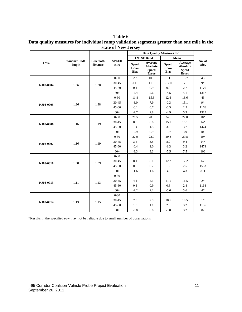**Table 6 Data quality measures for individual ramp validation segments greater than one mile in the state of New Jersey**

|            |                               |                              |                            | <b>Data Ouality Measures for</b>     |                                                     |                                      |                                                     |                |
|------------|-------------------------------|------------------------------|----------------------------|--------------------------------------|-----------------------------------------------------|--------------------------------------|-----------------------------------------------------|----------------|
|            |                               |                              |                            |                                      | 1.96 SE Band                                        |                                      | Mean                                                |                |
| <b>TMC</b> | <b>Standard TMC</b><br>length | <b>Bluetooth</b><br>distance | <b>SPEED</b><br><b>BIN</b> | <b>Speed</b><br>Error<br><b>Bias</b> | Average<br><b>Absolute</b><br><b>Speed</b><br>Error | <b>Speed</b><br>Error<br><b>Bias</b> | Average<br><b>Absolute</b><br><b>Speed</b><br>Error | No. of<br>Obs. |
|            |                               |                              | $0 - 30$                   | 2.3                                  | 10.8                                                | 1.1                                  | 13.7                                                | 43             |
| NJ08-0004  | 1.36                          | 1.38                         | $30 - 45$                  | $-11.5$                              | 11.5                                                | $-17.0$                              | 17.1                                                | $9*$           |
|            |                               |                              | $45 - 60$                  | 0.1                                  | 0.9                                                 | 0.0                                  | 2.7                                                 | 1176           |
|            |                               |                              | $60+$                      | $-2.4$                               | 2.6                                                 | $-4.5$                               | 5.1                                                 | 1317           |
|            |                               |                              | $0 - 30$                   | 11.8                                 | 15.3                                                | 12.6                                 | 18.6                                                | 43             |
| NJ08-0005  | 1.26                          | 1.38                         | 30-45                      | $-3.0$                               | 7.9                                                 | $-0.3$                               | 15.1                                                | $9*$           |
|            |                               |                              | $45 - 60$                  | $-0.1$                               | 0.7                                                 | $-0.5$                               | 2.5                                                 | 1176           |
|            |                               |                              | $60+$                      | $-2.7$                               | 2.8                                                 | $-4.9$                               | 5.3                                                 | 1317           |
|            | 1.16                          | 1.19                         | $0 - 30$                   | 20.5                                 | 20.8                                                | 24.6                                 | 27.0                                                | $10^{\ast}$    |
| NJ08-0006  |                               |                              | $30 - 45$                  | 8.8                                  | 8.8                                                 | 15.1                                 | 15.1                                                | $14*$          |
|            |                               |                              | $45 - 60$                  | 1.4                                  | 1.5                                                 | 3.0                                  | 3.7                                                 | 1474           |
|            |                               |                              | $60+$                      | $-0.9$                               | 0.9                                                 | $-3.7$                               | 3.9                                                 | 106            |
|            | 1.16                          |                              | $0 - 30$                   | 22.9                                 | 22.9                                                | 29.8                                 | 29.8                                                | $10*$          |
| NJ08-0007  |                               | 1.19                         | 30-45                      | 3.4                                  | 3.5                                                 | 8.9                                  | 9.4                                                 | $14*$          |
|            |                               |                              | $45 - 60$                  | $-0.4$                               | 1.0                                                 | $-1.3$                               | 3.2                                                 | 1474           |
|            |                               |                              | $60+$                      | $-3.3$                               | 3.3                                                 | $-7.5$                               | 7.5                                                 | 106            |
|            |                               |                              | $0 - 30$                   |                                      |                                                     |                                      |                                                     |                |
| NJ08-0010  | 1.38                          | 1.39                         | 30-45                      | 8.1                                  | 8.1                                                 | 12.2                                 | 12.2                                                | 62             |
|            |                               |                              | $45 - 60$                  | 0.6                                  | 0.7                                                 | 1.2                                  | 2.5                                                 | 1533           |
|            |                               |                              | $60+$                      | $-1.6$                               | 1.6                                                 | $-4.1$                               | 4.3                                                 | 811            |
|            |                               |                              | $0 - 30$                   |                                      |                                                     |                                      |                                                     |                |
| NJ08-0013  | 1.11                          | 1.13                         | $30 - 45$                  | 4.1                                  | 4.1                                                 | 11.5                                 | 11.5                                                | $2*$           |
|            |                               |                              | $45 - 60$                  | 0.3                                  | 0.9                                                 | 0.6                                  | 2.8                                                 | 1168           |
|            |                               |                              | $60+$                      | $-2.2$                               | 2.2                                                 | $-5.6$                               | 5.6                                                 | 47             |
|            |                               |                              | $0 - 30$                   |                                      |                                                     |                                      |                                                     |                |
| NJ08-0014  | 1.13                          | 1.15                         | $30 - 45$                  | 7.9                                  | 7.9                                                 | 18.5                                 | 18.5                                                | $1*$           |
|            |                               |                              | $45 - 60$                  | 1.0                                  | 1.1                                                 | 2.6                                  | 3.2                                                 | 1136           |
|            |                               |                              | $60+$                      | $-0.8$                               | 0.8                                                 | $-3.0$                               | 3.2                                                 | 82             |

\*Results in the specified row may not be reliable due to small number of observations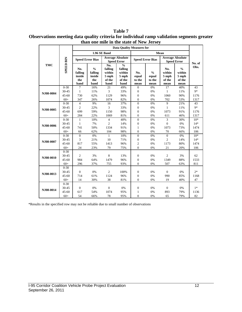**than one mile in the state of New Jersey Data Quality Measures for 1.96 SE Band Mean Speed Error Bias Average Absolute Speed Error Speed Error Speed Error Bias Average Absolute SPEED BIN SPEED BIN Speed Error No. of TMC % No. Obs. falling % falling No. % No. falling within falling within within No. % within inside inside 5 mph 5 mph 5 mph 5 mph equal equal the the of the of the to the to the of the of the band band band band mean mean mean mean** 0-30 7 16% 21 49% 0 0% 17 40% 43 30-45 1 11% 3 33% 0 0% 1 11% 9\* **NJ08-0004** 45-60 730 62% 1129 96% 0 0% 1060 90% 1176 60+ 347 26% 1074 82% 0 0% 702 53% 1317 0-30 4 9% 16 37% 0 0% 9 21% 43 30-45 2 22% 3 33% 0 0% 1 11% 9\* **NJ08-0005** 45-60 699 59% 1150 98% 0 0% 1073 91% 1176 60+ 284 22% 1069 81% 0 0% 611 46% 1317  $0-30$  1 10% 4 40% 0 0% 3 30% 10\* 30-45 1 7% 2 14% 0 0% 0 0% 14\* **NJ08-0006** 45-60 741 50% 1334 91% 1 0% 1073 73% 1474

60+ 66 62% 104 98% 0 0% 70 66% 106

 $0-30$  0 0% 1 10% 0 0% 0 0% 10\* 30-45 3 21% 10 71% 0 0% 2 14% 14\* 45-60 817 55% 1413 96% 2 0% 1173 80% 1474 60+ 24 23% 79 75% 0 0% 21 20% 106

30-45 2 3% 8 13% 0 0% 2 3% 62 45-60 984 64% 1479 96% 0 0% 1349 88% 1533 60+ 296 37% 755 93% 0 0% 507 63% 811

30-45 0 0% 2 100% 0 0% 0 0% 2\* 45-60 714 61% 1124 96% 0 0% 990 85% 1168 60+ 14 30% 38 81% 0 0% 19 40% 47

30-45 0 0% 0 0% 0 0% 0 0% 1\* 45-60 617 54% 1074 95% 1 0% 893 79% 1136 60+ 54 66% 78 95% 0 0% 65 79% 82

| <b>Table 7</b>                                                                             |
|--------------------------------------------------------------------------------------------|
| Observations meeting data quality criteria for individual ramp validation segments greater |
| than one mile in the state of New Jersey                                                   |

\*Results in the specified row may not be reliable due to small number of observations

**NJ08-0007**

**NJ08-0010**

**NJ08-0013**

**NJ08-0014** 

0-30

 $0-30$ <br>30-45

0-30